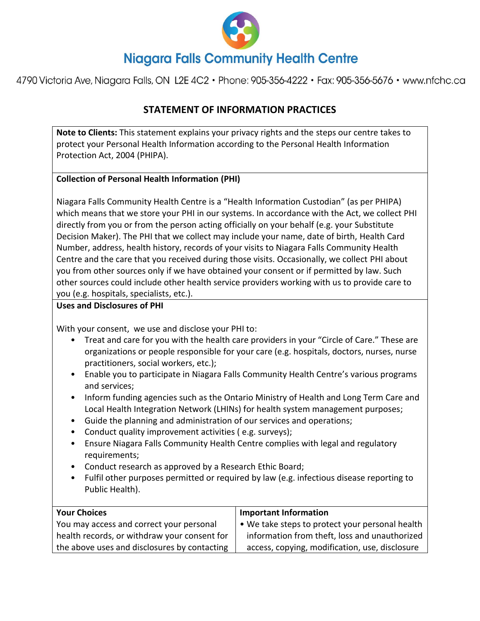

4790 Victoria Ave, Niagara Falls, ON L2E 4C2 · Phone: 905-356-4222 · Fax: 905-356-5676 · www.nfchc.ca

# **STATEMENT OF INFORMATION PRACTICES**

**Note to Clients:** This statement explains your privacy rights and the steps our centre takes to protect your Personal Health Information according to the Personal Health Information Protection Act, 2004 (PHIPA).

### **Collection of Personal Health Information (PHI)**

Niagara Falls Community Health Centre is a "Health Information Custodian" (as per PHIPA) which means that we store your PHI in our systems. In accordance with the Act, we collect PHI directly from you or from the person acting officially on your behalf (e.g. your Substitute Decision Maker). The PHI that we collect may include your name, date of birth, Health Card Number, address, health history, records of your visits to Niagara Falls Community Health Centre and the care that you received during those visits. Occasionally, we collect PHI about you from other sources only if we have obtained your consent or if permitted by law. Such other sources could include other health service providers working with us to provide care to you (e.g. hospitals, specialists, etc.).

#### **Uses and Disclosures of PHI**

With your consent, we use and disclose your PHI to:

- Treat and care for you with the health care providers in your "Circle of Care." These are organizations or people responsible for your care (e.g. hospitals, doctors, nurses, nurse practitioners, social workers, etc.);
- Enable you to participate in Niagara Falls Community Health Centre's various programs and services;
- Inform funding agencies such as the Ontario Ministry of Health and Long Term Care and Local Health Integration Network (LHINs) for health system management purposes;
- Guide the planning and administration of our services and operations;
- Conduct quality improvement activities ( e.g. surveys);
- Ensure Niagara Falls Community Health Centre complies with legal and regulatory requirements;
- Conduct research as approved by a Research Ethic Board;
- Fulfil other purposes permitted or required by law (e.g. infectious disease reporting to Public Health).

| <b>Your Choices</b>                          | <b>Important Information</b>                    |
|----------------------------------------------|-------------------------------------------------|
| You may access and correct your personal     | • We take steps to protect your personal health |
| health records, or withdraw your consent for | information from theft, loss and unauthorized   |
| the above uses and disclosures by contacting | access, copying, modification, use, disclosure  |